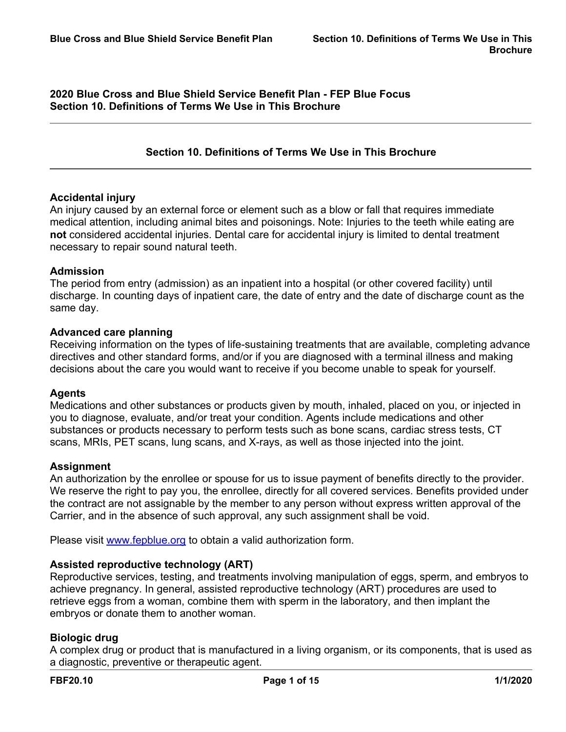**2020 Blue Cross and Blue Shield Service Benefit Plan - FEP Blue Focus Section 10. Definitions of Terms We Use in This Brochure**

# **Section 10. Definitions of Terms We Use in This Brochure**

### **Accidental injury**

An injury caused by an external force or element such as a blow or fall that requires immediate medical attention, including animal bites and poisonings. Note: Injuries to the teeth while eating are **not** considered accidental injuries. Dental care for accidental injury is limited to dental treatment necessary to repair sound natural teeth.

### **Admission**

The period from entry (admission) as an inpatient into a hospital (or other covered facility) until discharge. In counting days of inpatient care, the date of entry and the date of discharge count as the same day.

### **Advanced care planning**

Receiving information on the types of life-sustaining treatments that are available, completing advance directives and other standard forms, and/or if you are diagnosed with a terminal illness and making decisions about the care you would want to receive if you become unable to speak for yourself.

### **Agents**

Medications and other substances or products given by mouth, inhaled, placed on you, or injected in you to diagnose, evaluate, and/or treat your condition. Agents include medications and other substances or products necessary to perform tests such as bone scans, cardiac stress tests, CT scans, MRIs, PET scans, lung scans, and X-rays, as well as those injected into the joint.

### **Assignment**

An authorization by the enrollee or spouse for us to issue payment of benefits directly to the provider. We reserve the right to pay you, the enrollee, directly for all covered services. Benefits provided under the contract are not assignable by the member to any person without express written approval of the Carrier, and in the absence of such approval, any such assignment shall be void.

Please visit [www.fepblue.org](http://www.fepblue.org/) to obtain a valid authorization form.

# **Assisted reproductive technology (ART)**

Reproductive services, testing, and treatments involving manipulation of eggs, sperm, and embryos to achieve pregnancy. In general, assisted reproductive technology (ART) procedures are used to retrieve eggs from a woman, combine them with sperm in the laboratory, and then implant the embryos or donate them to another woman.

# **Biologic drug**

A complex drug or product that is manufactured in a living organism, or its components, that is used as a diagnostic, preventive or therapeutic agent.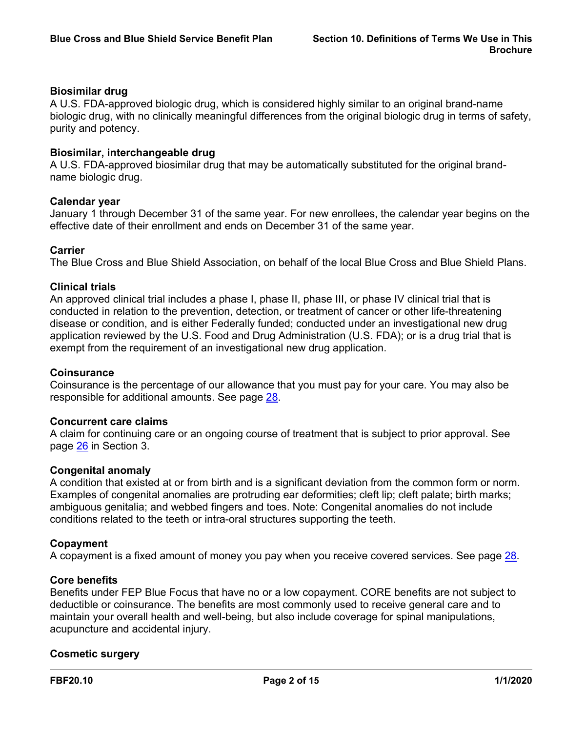# **Biosimilar drug**

A U.S. FDA-approved biologic drug, which is considered highly similar to an original brand-name biologic drug, with no clinically meaningful differences from the original biologic drug in terms of safety, purity and potency.

### **Biosimilar, interchangeable drug**

A U.S. FDA-approved biosimilar drug that may be automatically substituted for the original brandname biologic drug.

### **Calendar year**

January 1 through December 31 of the same year. For new enrollees, the calendar year begins on the effective date of their enrollment and ends on December 31 of the same year.

# **Carrier**

The Blue Cross and Blue Shield Association, on behalf of the local Blue Cross and Blue Shield Plans.

### **Clinical trials**

An approved clinical trial includes a phase I, phase II, phase III, or phase IV clinical trial that is conducted in relation to the prevention, detection, or treatment of cancer or other life-threatening disease or condition, and is either Federally funded; conducted under an investigational new drug application reviewed by the U.S. Food and Drug Administration (U.S. FDA); or is a drug trial that is exempt from the requirement of an investigational new drug application.

### **Coinsurance**

Coinsurance is the percentage of our allowance that you must pay for your care. You may also be responsible for additional amounts. See page [28.](a8376318-ebd6-421f-be63-acf8c88376a1_e564cdd3-e958-49ee-a453-b3279c9c3d5b.html?v=32493)

### **Concurrent care claims**

A claim for continuing care or an ongoing course of treatment that is subject to prior approval. See page [26](a8376318-ebd6-421f-be63-acf8c88376a1_df3ecf0a-4555-4a49-8c10-c2f16c4ec6c5.html?v=32493) in Section 3.

### **Congenital anomaly**

A condition that existed at or from birth and is a significant deviation from the common form or norm. Examples of congenital anomalies are protruding ear deformities; cleft lip; cleft palate; birth marks; ambiguous genitalia; and webbed fingers and toes. Note: Congenital anomalies do not include conditions related to the teeth or intra-oral structures supporting the teeth.

# **Copayment**

A copayment is a fixed amount of money you pay when you receive covered services. See page [28](a8376318-ebd6-421f-be63-acf8c88376a1_e564cdd3-e958-49ee-a453-b3279c9c3d5b.html?v=32493).

### **Core benefits**

Benefits under FEP Blue Focus that have no or a low copayment. CORE benefits are not subject to deductible or coinsurance. The benefits are most commonly used to receive general care and to maintain your overall health and well-being, but also include coverage for spinal manipulations, acupuncture and accidental injury.

### **Cosmetic surgery**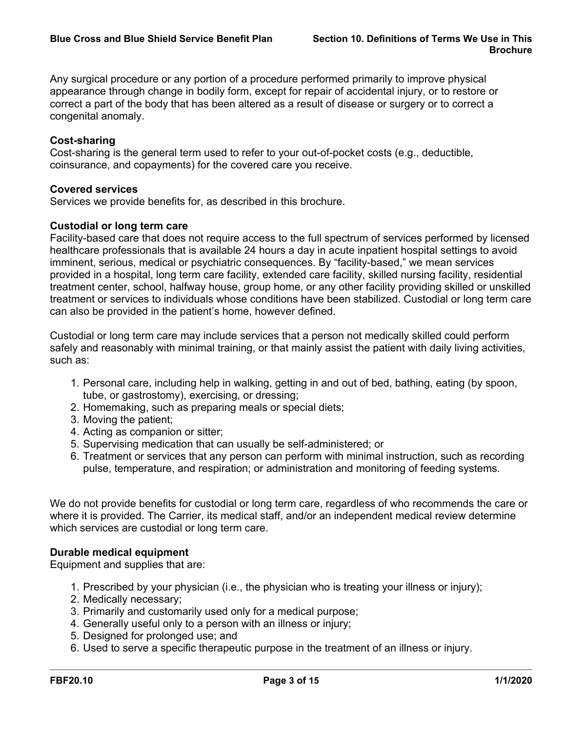Any surgical procedure or any portion of a procedure performed primarily to improve physical appearance through change in bodily form, except for repair of accidental injury, or to restore or correct a part of the body that has been altered as a result of disease or surgery or to correct a congenital anomaly.

# **Cost-sharing**

Cost-sharing is the general term used to refer to your out-of-pocket costs (e.g., deductible, coinsurance, and copayments) for the covered care you receive.

# **Covered services**

Services we provide benefits for, as described in this brochure.

# **Custodial or long term care**

Facility-based care that does not require access to the full spectrum of services performed by licensed healthcare professionals that is available 24 hours a day in acute inpatient hospital settings to avoid imminent, serious, medical or psychiatric consequences. By "facility-based," we mean services provided in a hospital, long term care facility, extended care facility, skilled nursing facility, residential treatment center, school, halfway house, group home, or any other facility providing skilled or unskilled treatment or services to individuals whose conditions have been stabilized. Custodial or long term care can also be provided in the patient's home, however defined.

Custodial or long term care may include services that a person not medically skilled could perform safely and reasonably with minimal training, or that mainly assist the patient with daily living activities, such as:

- 1. Personal care, including help in walking, getting in and out of bed, bathing, eating (by spoon, tube, or gastrostomy), exercising, or dressing;
- 2. Homemaking, such as preparing meals or special diets;
- 3. Moving the patient;
- 4. Acting as companion or sitter;
- 5. Supervising medication that can usually be self-administered; or
- 6. Treatment or services that any person can perform with minimal instruction, such as recording pulse, temperature, and respiration; or administration and monitoring of feeding systems.

We do not provide benefits for custodial or long term care, regardless of who recommends the care or where it is provided. The Carrier, its medical staff, and/or an independent medical review determine which services are custodial or long term care.

# **Durable medical equipment**

Equipment and supplies that are:

- 1. Prescribed by your physician (i.e., the physician who is treating your illness or injury);
- 2. Medically necessary;
- 3. Primarily and customarily used only for a medical purpose;
- 4. Generally useful only to a person with an illness or injury;
- 5. Designed for prolonged use; and
- 6. Used to serve a specific therapeutic purpose in the treatment of an illness or injury.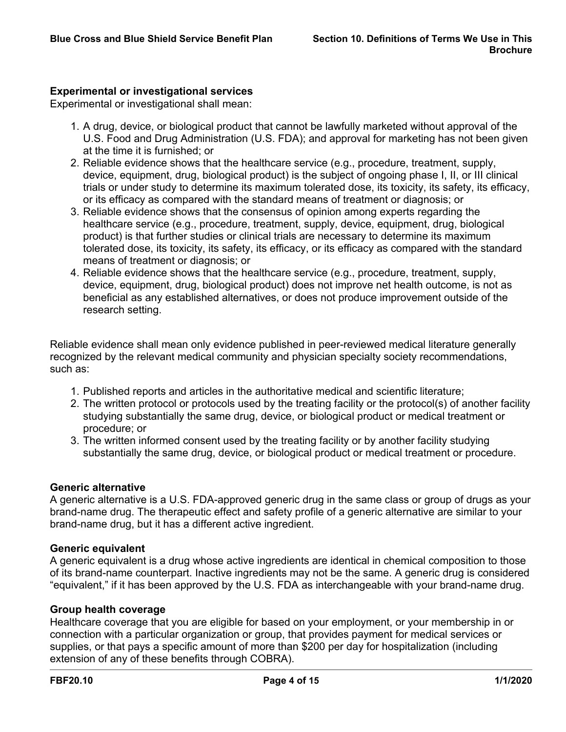# **Experimental or investigational services**

Experimental or investigational shall mean:

- 1. A drug, device, or biological product that cannot be lawfully marketed without approval of the U.S. Food and Drug Administration (U.S. FDA); and approval for marketing has not been given at the time it is furnished; or
- 2. Reliable evidence shows that the healthcare service (e.g., procedure, treatment, supply, device, equipment, drug, biological product) is the subject of ongoing phase I, II, or III clinical trials or under study to determine its maximum tolerated dose, its toxicity, its safety, its efficacy, or its efficacy as compared with the standard means of treatment or diagnosis; or
- 3. Reliable evidence shows that the consensus of opinion among experts regarding the healthcare service (e.g., procedure, treatment, supply, device, equipment, drug, biological product) is that further studies or clinical trials are necessary to determine its maximum tolerated dose, its toxicity, its safety, its efficacy, or its efficacy as compared with the standard means of treatment or diagnosis; or
- 4. Reliable evidence shows that the healthcare service (e.g., procedure, treatment, supply, device, equipment, drug, biological product) does not improve net health outcome, is not as beneficial as any established alternatives, or does not produce improvement outside of the research setting.

Reliable evidence shall mean only evidence published in peer-reviewed medical literature generally recognized by the relevant medical community and physician specialty society recommendations, such as:

- 1. Published reports and articles in the authoritative medical and scientific literature;
- 2. The written protocol or protocols used by the treating facility or the protocol(s) of another facility studying substantially the same drug, device, or biological product or medical treatment or procedure; or
- 3. The written informed consent used by the treating facility or by another facility studying substantially the same drug, device, or biological product or medical treatment or procedure.

# **Generic alternative**

A generic alternative is a U.S. FDA-approved generic drug in the same class or group of drugs as your brand-name drug. The therapeutic effect and safety profile of a generic alternative are similar to your brand-name drug, but it has a different active ingredient.

### **Generic equivalent**

A generic equivalent is a drug whose active ingredients are identical in chemical composition to those of its brand-name counterpart. Inactive ingredients may not be the same. A generic drug is considered "equivalent," if it has been approved by the U.S. FDA as interchangeable with your brand-name drug.

### **Group health coverage**

Healthcare coverage that you are eligible for based on your employment, or your membership in or connection with a particular organization or group, that provides payment for medical services or supplies, or that pays a specific amount of more than \$200 per day for hospitalization (including extension of any of these benefits through COBRA).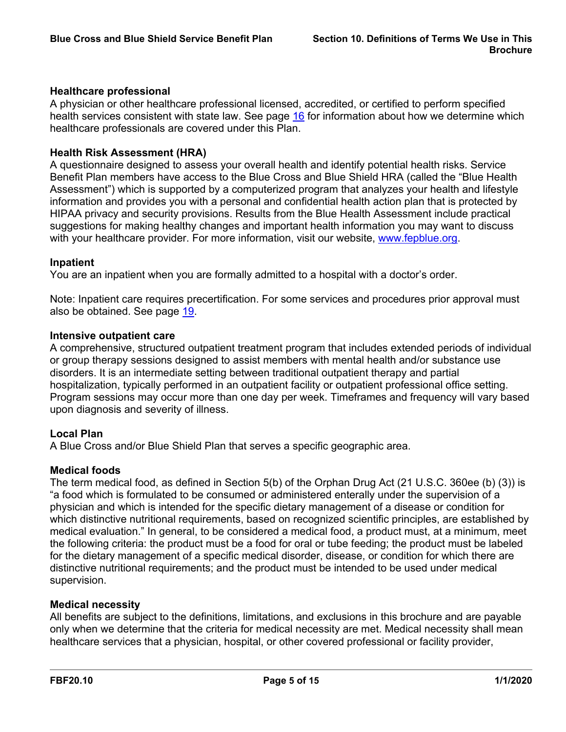# **Healthcare professional**

A physician or other healthcare professional licensed, accredited, or certified to perform specified health services consistent with state law. See page [16](a8376318-ebd6-421f-be63-acf8c88376a1_281c9539-7e0f-4494-a5a2-501fb2c3e020.html?v=32493) for information about how we determine which healthcare professionals are covered under this Plan.

### **Health Risk Assessment (HRA)**

A questionnaire designed to assess your overall health and identify potential health risks. Service Benefit Plan members have access to the Blue Cross and Blue Shield HRA (called the "Blue Health Assessment") which is supported by a computerized program that analyzes your health and lifestyle information and provides you with a personal and confidential health action plan that is protected by HIPAA privacy and security provisions. Results from the Blue Health Assessment include practical suggestions for making healthy changes and important health information you may want to discuss with your healthcare provider. For more information, visit our website, [www.fepblue.org](http://www.fepblue.org/).

### **Inpatient**

You are an inpatient when you are formally admitted to a hospital with a doctor's order.

Note: Inpatient care requires precertification. For some services and procedures prior approval must also be obtained. See page [19](a8376318-ebd6-421f-be63-acf8c88376a1_4311bd7a-6a6e-4b2d-a191-72fca6cdb38b.html?v=32493).

### **Intensive outpatient care**

A comprehensive, structured outpatient treatment program that includes extended periods of individual or group therapy sessions designed to assist members with mental health and/or substance use disorders. It is an intermediate setting between traditional outpatient therapy and partial hospitalization, typically performed in an outpatient facility or outpatient professional office setting. Program sessions may occur more than one day per week. Timeframes and frequency will vary based upon diagnosis and severity of illness.

# **Local Plan**

A Blue Cross and/or Blue Shield Plan that serves a specific geographic area.

# **Medical foods**

The term medical food, as defined in Section 5(b) of the Orphan Drug Act (21 U.S.C. 360ee (b) (3)) is "a food which is formulated to be consumed or administered enterally under the supervision of a physician and which is intended for the specific dietary management of a disease or condition for which distinctive nutritional requirements, based on recognized scientific principles, are established by medical evaluation." In general, to be considered a medical food, a product must, at a minimum, meet the following criteria: the product must be a food for oral or tube feeding; the product must be labeled for the dietary management of a specific medical disorder, disease, or condition for which there are distinctive nutritional requirements; and the product must be intended to be used under medical supervision.

### **Medical necessity**

All benefits are subject to the definitions, limitations, and exclusions in this brochure and are payable only when we determine that the criteria for medical necessity are met. Medical necessity shall mean healthcare services that a physician, hospital, or other covered professional or facility provider,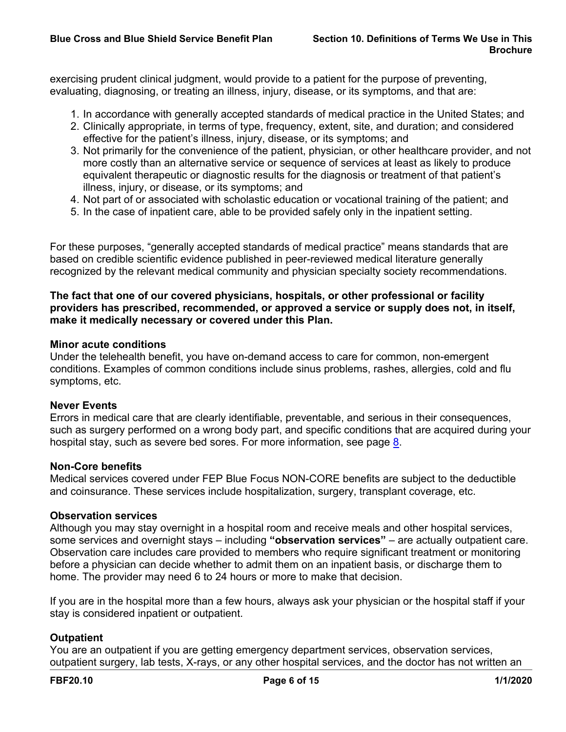exercising prudent clinical judgment, would provide to a patient for the purpose of preventing, evaluating, diagnosing, or treating an illness, injury, disease, or its symptoms, and that are:

- 1. In accordance with generally accepted standards of medical practice in the United States; and
- 2. Clinically appropriate, in terms of type, frequency, extent, site, and duration; and considered effective for the patient's illness, injury, disease, or its symptoms; and
- 3. Not primarily for the convenience of the patient, physician, or other healthcare provider, and not more costly than an alternative service or sequence of services at least as likely to produce equivalent therapeutic or diagnostic results for the diagnosis or treatment of that patient's illness, injury, or disease, or its symptoms; and
- 4. Not part of or associated with scholastic education or vocational training of the patient; and
- 5. In the case of inpatient care, able to be provided safely only in the inpatient setting.

For these purposes, "generally accepted standards of medical practice" means standards that are based on credible scientific evidence published in peer-reviewed medical literature generally recognized by the relevant medical community and physician specialty society recommendations.

# **The fact that one of our covered physicians, hospitals, or other professional or facility providers has prescribed, recommended, or approved a service or supply does not, in itself, make it medically necessary or covered under this Plan.**

### **Minor acute conditions**

Under the telehealth benefit, you have on-demand access to care for common, non-emergent conditions. Examples of common conditions include sinus problems, rashes, allergies, cold and flu symptoms, etc.

### **Never Events**

Errors in medical care that are clearly identifiable, preventable, and serious in their consequences, such as surgery performed on a wrong body part, and specific conditions that are acquired during your hospital stay, such as severe bed sores. For more information, see page [8.](a8376318-ebd6-421f-be63-acf8c88376a1_e35d09e3-90a3-4da8-b01b-2001b3fcc36e.html?v=32493)

### **Non-Core benefits**

Medical services covered under FEP Blue Focus NON-CORE benefits are subject to the deductible and coinsurance. These services include hospitalization, surgery, transplant coverage, etc.

### **Observation services**

Although you may stay overnight in a hospital room and receive meals and other hospital services, some services and overnight stays – including **"observation services"** – are actually outpatient care. Observation care includes care provided to members who require significant treatment or monitoring before a physician can decide whether to admit them on an inpatient basis, or discharge them to home. The provider may need 6 to 24 hours or more to make that decision.

If you are in the hospital more than a few hours, always ask your physician or the hospital staff if your stay is considered inpatient or outpatient.

# **Outpatient**

You are an outpatient if you are getting emergency department services, observation services, outpatient surgery, lab tests, X-rays, or any other hospital services, and the doctor has not written an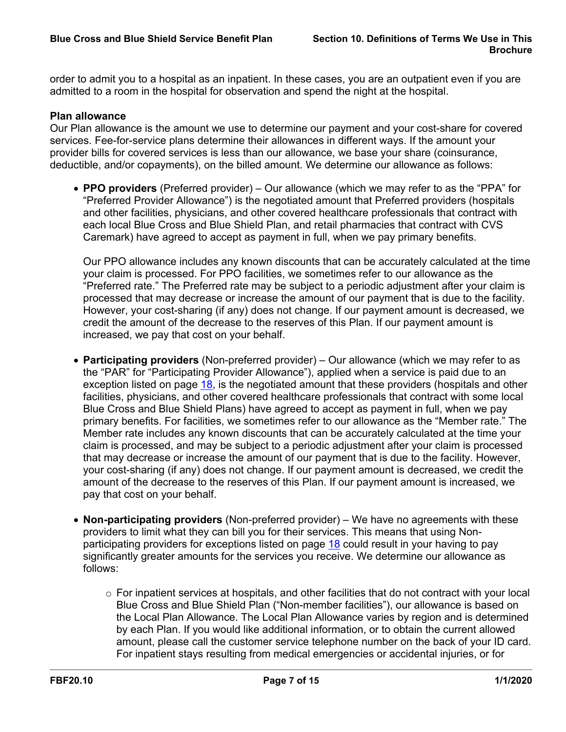order to admit you to a hospital as an inpatient. In these cases, you are an outpatient even if you are admitted to a room in the hospital for observation and spend the night at the hospital.

# **Plan allowance**

Our Plan allowance is the amount we use to determine our payment and your cost-share for covered services. Fee-for-service plans determine their allowances in different ways. If the amount your provider bills for covered services is less than our allowance, we base your share (coinsurance, deductible, and/or copayments), on the billed amount. We determine our allowance as follows:

 **PPO providers** (Preferred provider) – Our allowance (which we may refer to as the "PPA" for "Preferred Provider Allowance") is the negotiated amount that Preferred providers (hospitals and other facilities, physicians, and other covered healthcare professionals that contract with each local Blue Cross and Blue Shield Plan, and retail pharmacies that contract with CVS Caremark) have agreed to accept as payment in full, when we pay primary benefits.

Our PPO allowance includes any known discounts that can be accurately calculated at the time your claim is processed. For PPO facilities, we sometimes refer to our allowance as the "Preferred rate." The Preferred rate may be subject to a periodic adjustment after your claim is processed that may decrease or increase the amount of our payment that is due to the facility. However, your cost-sharing (if any) does not change. If our payment amount is decreased, we credit the amount of the decrease to the reserves of this Plan. If our payment amount is increased, we pay that cost on your behalf.

- **Participating providers** (Non-preferred provider) Our allowance (which we may refer to as the "PAR" for "Participating Provider Allowance"), applied when a service is paid due to an exception listed on page [18](a8376318-ebd6-421f-be63-acf8c88376a1_43829a2a-3be8-41ac-93ec-1b4517c52bb0.html?v=32493), is the negotiated amount that these providers (hospitals and other facilities, physicians, and other covered healthcare professionals that contract with some local Blue Cross and Blue Shield Plans) have agreed to accept as payment in full, when we pay primary benefits. For facilities, we sometimes refer to our allowance as the "Member rate." The Member rate includes any known discounts that can be accurately calculated at the time your claim is processed, and may be subject to a periodic adjustment after your claim is processed that may decrease or increase the amount of our payment that is due to the facility. However, your cost-sharing (if any) does not change. If our payment amount is decreased, we credit the amount of the decrease to the reserves of this Plan. If our payment amount is increased, we pay that cost on your behalf.
- **Non-participating providers** (Non-preferred provider) We have no agreements with these providers to limit what they can bill you for their services. This means that using Non-participating providers for exceptions listed on page [18](a8376318-ebd6-421f-be63-acf8c88376a1_43829a2a-3be8-41ac-93ec-1b4517c52bb0.html?v=32493) could result in your having to pay significantly greater amounts for the services you receive. We determine our allowance as follows:
	- $\circ$  For inpatient services at hospitals, and other facilities that do not contract with your local Blue Cross and Blue Shield Plan ("Non-member facilities"), our allowance is based on the Local Plan Allowance. The Local Plan Allowance varies by region and is determined by each Plan. If you would like additional information, or to obtain the current allowed amount, please call the customer service telephone number on the back of your ID card. For inpatient stays resulting from medical emergencies or accidental injuries, or for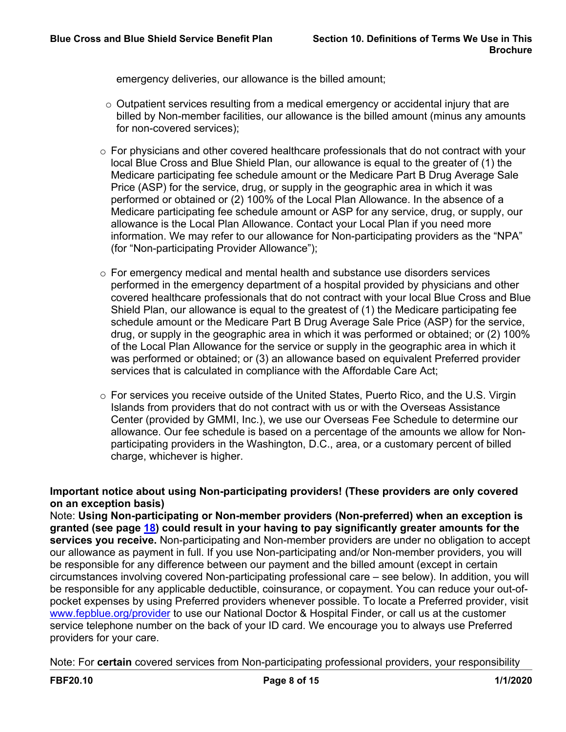emergency deliveries, our allowance is the billed amount;

- $\circ$  Outpatient services resulting from a medical emergency or accidental injury that are billed by Non-member facilities, our allowance is the billed amount (minus any amounts for non-covered services);
- $\circ$  For physicians and other covered healthcare professionals that do not contract with your local Blue Cross and Blue Shield Plan, our allowance is equal to the greater of (1) the Medicare participating fee schedule amount or the Medicare Part B Drug Average Sale Price (ASP) for the service, drug, or supply in the geographic area in which it was performed or obtained or (2) 100% of the Local Plan Allowance. In the absence of a Medicare participating fee schedule amount or ASP for any service, drug, or supply, our allowance is the Local Plan Allowance. Contact your Local Plan if you need more information. We may refer to our allowance for Non-participating providers as the "NPA" (for "Non-participating Provider Allowance");
- $\circ$  For emergency medical and mental health and substance use disorders services performed in the emergency department of a hospital provided by physicians and other covered healthcare professionals that do not contract with your local Blue Cross and Blue Shield Plan, our allowance is equal to the greatest of (1) the Medicare participating fee schedule amount or the Medicare Part B Drug Average Sale Price (ASP) for the service, drug, or supply in the geographic area in which it was performed or obtained; or (2) 100% of the Local Plan Allowance for the service or supply in the geographic area in which it was performed or obtained; or (3) an allowance based on equivalent Preferred provider services that is calculated in compliance with the Affordable Care Act;
- $\circ$  For services you receive outside of the United States, Puerto Rico, and the U.S. Virgin Islands from providers that do not contract with us or with the Overseas Assistance Center (provided by GMMI, Inc.), we use our Overseas Fee Schedule to determine our allowance. Our fee schedule is based on a percentage of the amounts we allow for Nonparticipating providers in the Washington, D.C., area, or a customary percent of billed charge, whichever is higher.

# **Important notice about using Non-participating providers! (These providers are only covered on an exception basis)**

Note: **Using Non-participating or Non-member providers (Non-preferred) when an exception is granted (see page [18](a8376318-ebd6-421f-be63-acf8c88376a1_43829a2a-3be8-41ac-93ec-1b4517c52bb0.html?v=32493)) could result in your having to pay significantly greater amounts for the services you receive.** Non-participating and Non-member providers are under no obligation to accept our allowance as payment in full. If you use Non-participating and/or Non-member providers, you will be responsible for any difference between our payment and the billed amount (except in certain circumstances involving covered Non-participating professional care – see below). In addition, you will be responsible for any applicable deductible, coinsurance, or copayment. You can reduce your out-ofpocket expenses by using Preferred providers whenever possible. To locate a Preferred provider, visit [www.fepblue.org/provider](http://www.fepblue.org/provider) to use our National Doctor & Hospital Finder, or call us at the customer service telephone number on the back of your ID card. We encourage you to always use Preferred providers for your care.

Note: For **certain** covered services from Non-participating professional providers, your responsibility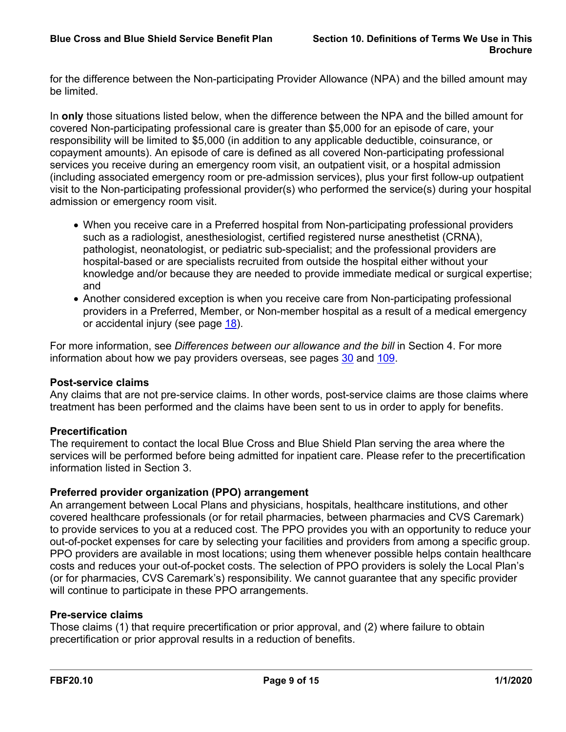for the difference between the Non-participating Provider Allowance (NPA) and the billed amount may be limited.

In **only** those situations listed below, when the difference between the NPA and the billed amount for covered Non-participating professional care is greater than \$5,000 for an episode of care, your responsibility will be limited to \$5,000 (in addition to any applicable deductible, coinsurance, or copayment amounts). An episode of care is defined as all covered Non-participating professional services you receive during an emergency room visit, an outpatient visit, or a hospital admission (including associated emergency room or pre-admission services), plus your first follow-up outpatient visit to the Non-participating professional provider(s) who performed the service(s) during your hospital admission or emergency room visit.

- When you receive care in a Preferred hospital from Non-participating professional providers such as a radiologist, anesthesiologist, certified registered nurse anesthetist (CRNA), pathologist, neonatologist, or pediatric sub-specialist; and the professional providers are hospital-based or are specialists recruited from outside the hospital either without your knowledge and/or because they are needed to provide immediate medical or surgical expertise; and
- Another considered exception is when you receive care from Non-participating professional providers in a Preferred, Member, or Non-member hospital as a result of a medical emergency or accidental injury (see page [18](a8376318-ebd6-421f-be63-acf8c88376a1_43829a2a-3be8-41ac-93ec-1b4517c52bb0.html?v=32493)).

For more information, see *Differences between our allowance and the bill* in Section 4. For more information about how we pay providers overseas, see pages [30](a8376318-ebd6-421f-be63-acf8c88376a1_e990aeba-8793-455d-8874-44b89dd6f96e.html?v=32493) and [109](a8376318-ebd6-421f-be63-acf8c88376a1_7d7e931e-f9ee-4828-ae27-f133e34430be.html?v=32493).

# **Post-service claims**

Any claims that are not pre-service claims. In other words, post-service claims are those claims where treatment has been performed and the claims have been sent to us in order to apply for benefits.

# **Precertification**

The requirement to contact the local Blue Cross and Blue Shield Plan serving the area where the services will be performed before being admitted for inpatient care. Please refer to the precertification information listed in Section 3.

# **Preferred provider organization (PPO) arrangement**

An arrangement between Local Plans and physicians, hospitals, healthcare institutions, and other covered healthcare professionals (or for retail pharmacies, between pharmacies and CVS Caremark) to provide services to you at a reduced cost. The PPO provides you with an opportunity to reduce your out-of-pocket expenses for care by selecting your facilities and providers from among a specific group. PPO providers are available in most locations; using them whenever possible helps contain healthcare costs and reduces your out-of-pocket costs. The selection of PPO providers is solely the Local Plan's (or for pharmacies, CVS Caremark's) responsibility. We cannot guarantee that any specific provider will continue to participate in these PPO arrangements.

# **Pre-service claims**

Those claims (1) that require precertification or prior approval, and (2) where failure to obtain precertification or prior approval results in a reduction of benefits.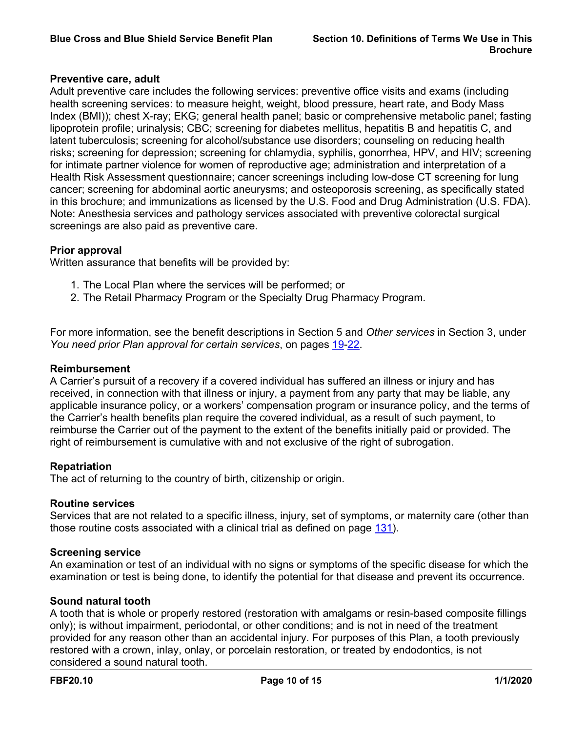### **Preventive care, adult**

Adult preventive care includes the following services: preventive office visits and exams (including health screening services: to measure height, weight, blood pressure, heart rate, and Body Mass Index (BMI)); chest X-ray; EKG; general health panel; basic or comprehensive metabolic panel; fasting lipoprotein profile; urinalysis; CBC; screening for diabetes mellitus, hepatitis B and hepatitis C, and latent tuberculosis; screening for alcohol/substance use disorders; counseling on reducing health risks; screening for depression; screening for chlamydia, syphilis, gonorrhea, HPV, and HIV; screening for intimate partner violence for women of reproductive age; administration and interpretation of a Health Risk Assessment questionnaire; cancer screenings including low-dose CT screening for lung cancer; screening for abdominal aortic aneurysms; and osteoporosis screening, as specifically stated in this brochure; and immunizations as licensed by the U.S. Food and Drug Administration (U.S. FDA). Note: Anesthesia services and pathology services associated with preventive colorectal surgical screenings are also paid as preventive care.

### **Prior approval**

Written assurance that benefits will be provided by:

- 1. The Local Plan where the services will be performed; or
- 2. The Retail Pharmacy Program or the Specialty Drug Pharmacy Program.

For more information, see the benefit descriptions in Section 5 and *Other services* in Section 3, under *You need prior Plan approval for certain services*, on pages [19](a8376318-ebd6-421f-be63-acf8c88376a1_4311bd7a-6a6e-4b2d-a191-72fca6cdb38b.html?v=32493)[-22.](a8376318-ebd6-421f-be63-acf8c88376a1_5e29ce90-b48e-4537-857a-8e55a6424062.html?v=32493)

### **Reimbursement**

A Carrier's pursuit of a recovery if a covered individual has suffered an illness or injury and has received, in connection with that illness or injury, a payment from any party that may be liable, any applicable insurance policy, or a workers' compensation program or insurance policy, and the terms of the Carrier's health benefits plan require the covered individual, as a result of such payment, to reimburse the Carrier out of the payment to the extent of the benefits initially paid or provided. The right of reimbursement is cumulative with and not exclusive of the right of subrogation.

### **Repatriation**

The act of returning to the country of birth, citizenship or origin.

### **Routine services**

Services that are not related to a specific illness, injury, set of symptoms, or maternity care (other than those routine costs associated with a clinical trial as defined on page [131\)](a8376318-ebd6-421f-be63-acf8c88376a1_72e6c30c-6a5c-424e-8279-d0f0c4162dd3.html?v=32493).

### **Screening service**

An examination or test of an individual with no signs or symptoms of the specific disease for which the examination or test is being done, to identify the potential for that disease and prevent its occurrence.

### **Sound natural tooth**

A tooth that is whole or properly restored (restoration with amalgams or resin-based composite fillings only); is without impairment, periodontal, or other conditions; and is not in need of the treatment provided for any reason other than an accidental injury. For purposes of this Plan, a tooth previously restored with a crown, inlay, onlay, or porcelain restoration, or treated by endodontics, is not considered a sound natural tooth.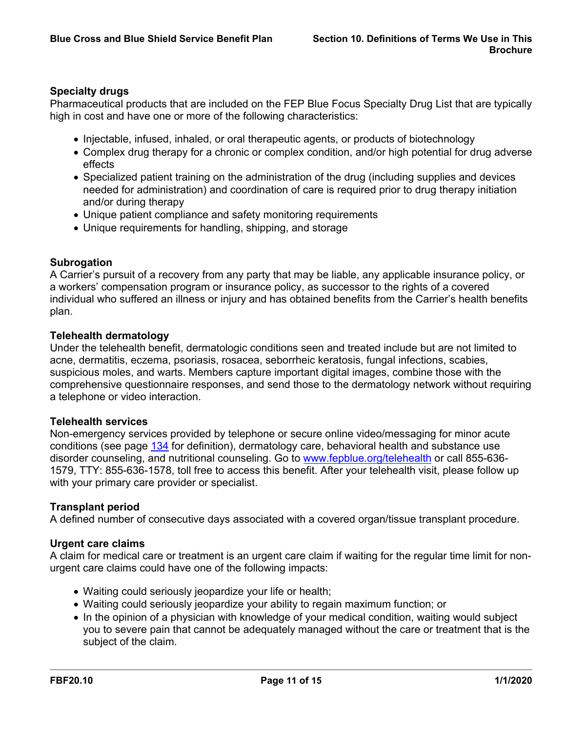# **Specialty drugs**

Pharmaceutical products that are included on the FEP Blue Focus Specialty Drug List that are typically high in cost and have one or more of the following characteristics:

- Injectable, infused, inhaled, or oral therapeutic agents, or products of biotechnology
- Complex drug therapy for a chronic or complex condition, and/or high potential for drug adverse effects
- Specialized patient training on the administration of the drug (including supplies and devices needed for administration) and coordination of care is required prior to drug therapy initiation and/or during therapy
- Unique patient compliance and safety monitoring requirements
- Unique requirements for handling, shipping, and storage

# **Subrogation**

A Carrier's pursuit of a recovery from any party that may be liable, any applicable insurance policy, or a workers' compensation program or insurance policy, as successor to the rights of a covered individual who suffered an illness or injury and has obtained benefits from the Carrier's health benefits plan.

### **Telehealth dermatology**

Under the telehealth benefit, dermatologic conditions seen and treated include but are not limited to acne, dermatitis, eczema, psoriasis, rosacea, seborrheic keratosis, fungal infections, scabies, suspicious moles, and warts. Members capture important digital images, combine those with the comprehensive questionnaire responses, and send those to the dermatology network without requiring a telephone or video interaction.

### **Telehealth services**

Non-emergency services provided by telephone or secure online video/messaging for minor acute conditions (see page [134](a8376318-ebd6-421f-be63-acf8c88376a1_8f8ea3a8-9776-4edf-9dd6-55e6a3feb6b8.html?v=32493) for definition), dermatology care, behavioral health and substance use disorder counseling, and nutritional counseling. Go to [www.fepblue.org/telehealth](http://www.fepblue.org/telehealth) or call 855-636- 1579, TTY: 855-636-1578, toll free to access this benefit. After your telehealth visit, please follow up with your primary care provider or specialist.

# **Transplant period**

A defined number of consecutive days associated with a covered organ/tissue transplant procedure.

### **Urgent care claims**

A claim for medical care or treatment is an urgent care claim if waiting for the regular time limit for nonurgent care claims could have one of the following impacts:

- Waiting could seriously jeopardize your life or health;
- Waiting could seriously jeopardize your ability to regain maximum function; or
- In the opinion of a physician with knowledge of your medical condition, waiting would subject you to severe pain that cannot be adequately managed without the care or treatment that is the subject of the claim.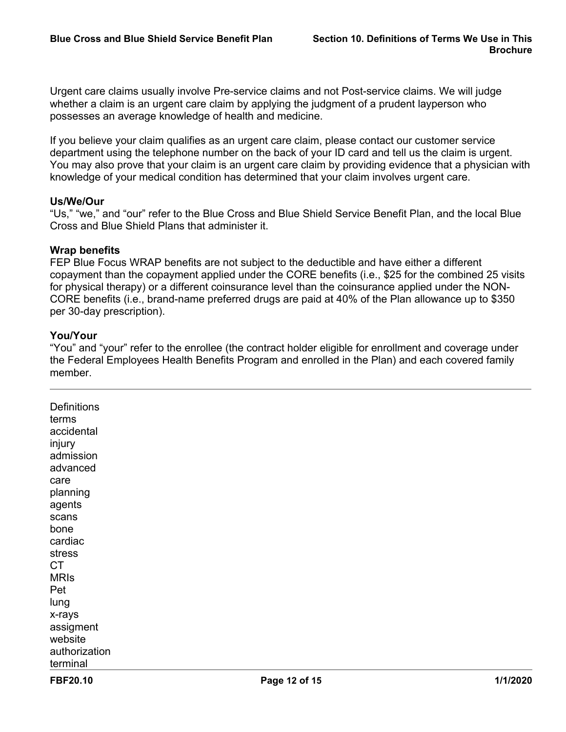Urgent care claims usually involve Pre-service claims and not Post-service claims. We will judge whether a claim is an urgent care claim by applying the judgment of a prudent layperson who possesses an average knowledge of health and medicine.

If you believe your claim qualifies as an urgent care claim, please contact our customer service department using the telephone number on the back of your ID card and tell us the claim is urgent. You may also prove that your claim is an urgent care claim by providing evidence that a physician with knowledge of your medical condition has determined that your claim involves urgent care.

### **Us/We/Our**

"Us," "we," and "our" refer to the Blue Cross and Blue Shield Service Benefit Plan, and the local Blue Cross and Blue Shield Plans that administer it.

### **Wrap benefits**

FEP Blue Focus WRAP benefits are not subject to the deductible and have either a different copayment than the copayment applied under the CORE benefits (i.e., \$25 for the combined 25 visits for physical therapy) or a different coinsurance level than the coinsurance applied under the NON-CORE benefits (i.e., brand-name preferred drugs are paid at 40% of the Plan allowance up to \$350 per 30-day prescription).

### **You/Your**

"You" and "your" refer to the enrollee (the contract holder eligible for enrollment and coverage under the Federal Employees Health Benefits Program and enrolled in the Plan) and each covered family member.

| FBF20.10      | Page 12 of 15 | 1/1/2020 |
|---------------|---------------|----------|
| terminal      |               |          |
| authorization |               |          |
| website       |               |          |
| assigment     |               |          |
| x-rays        |               |          |
| lung          |               |          |
| Pet           |               |          |
| <b>MRIS</b>   |               |          |
| <b>CT</b>     |               |          |
| stress        |               |          |
| cardiac       |               |          |
| bone          |               |          |
| scans         |               |          |
| agents        |               |          |
| planning      |               |          |
| care          |               |          |
| advanced      |               |          |
| admission     |               |          |
| injury        |               |          |
| accidental    |               |          |
| terms         |               |          |
| Definitions   |               |          |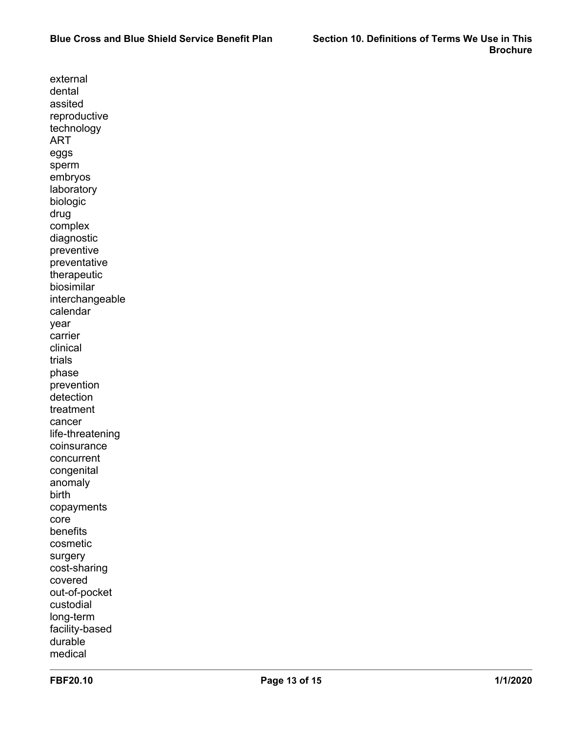external dental assited reproductive technology ART eggs sperm embryos laboratory biologic drug complex diagnostic preventive preventative therapeutic biosimilar interchangeable calendar year carrier clinical trials phase prevention detection treatment cancer life-threatening coinsurance concurrent congenital anomaly birth copayments core benefits cosmetic surgery cost-sharing covered out-of-pocket custodial long-term facility-based durable medical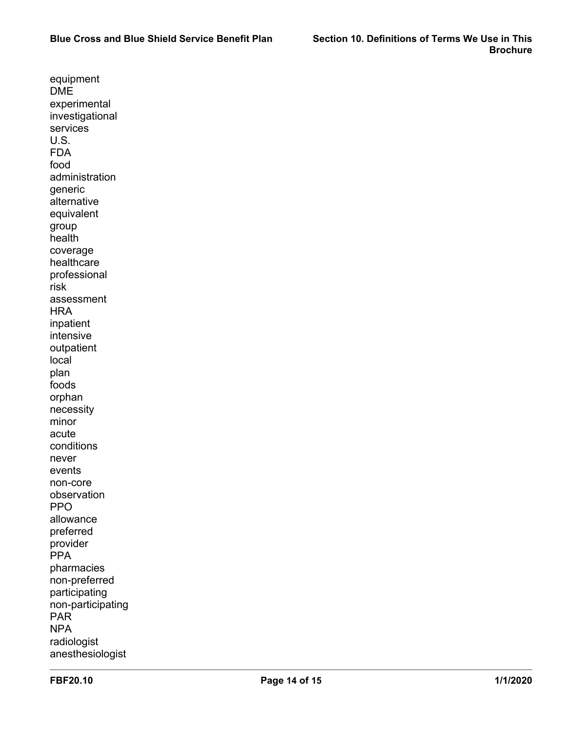equipment DME experimental investigational services U.S. FDA food administration generic alternative equivalent group health coverage healthcare professional risk assessment **HRA** inpatient intensive outpatient local plan foods orphan necessity minor acute conditions never events non-core observation PPO allowance preferred provider **PPA** pharmacies non-preferred participating non-participating PAR NPA radiologist anesthesiologist